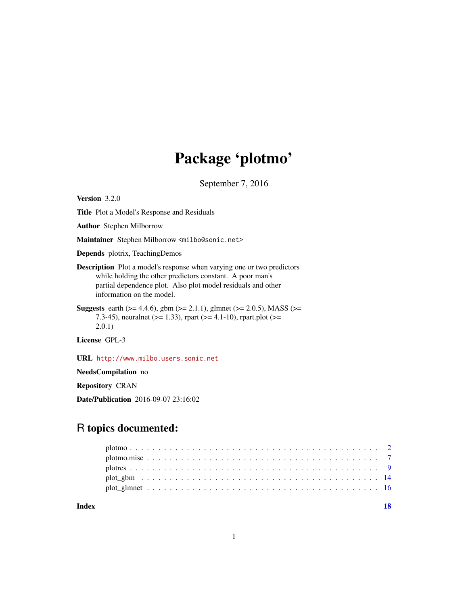## Package 'plotmo'

September 7, 2016

<span id="page-0-0"></span>Version 3.2.0

Title Plot a Model's Response and Residuals

Author Stephen Milborrow

Maintainer Stephen Milborrow <milbo@sonic.net>

Depends plotrix, TeachingDemos

Description Plot a model's response when varying one or two predictors while holding the other predictors constant. A poor man's partial dependence plot. Also plot model residuals and other information on the model.

Suggests earth ( $>= 4.4.6$ ), gbm ( $>= 2.1.1$ ), glmnet ( $>= 2.0.5$ ), MASS ( $>=$ 7.3-45), neuralnet ( $>= 1.33$ ), rpart ( $>= 4.1$ -10), rpart.plot ( $>= 1.33$ ) 2.0.1)

License GPL-3

URL <http://www.milbo.users.sonic.net>

NeedsCompilation no

Repository CRAN

Date/Publication 2016-09-07 23:16:02

### R topics documented:

#### **Index** 2008 **[18](#page-17-0)**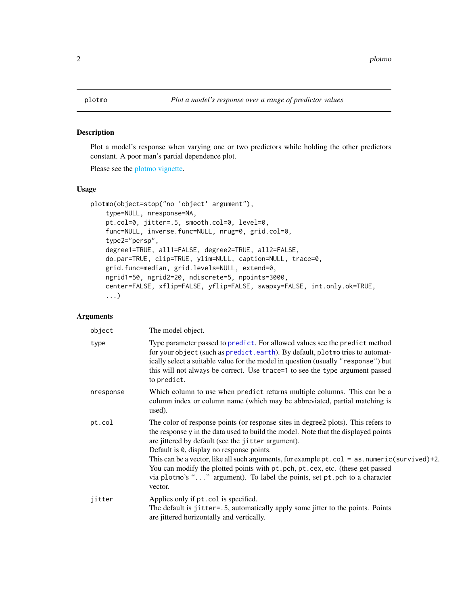#### <span id="page-1-1"></span><span id="page-1-0"></span>Description

Plot a model's response when varying one or two predictors while holding the other predictors constant. A poor man's partial dependence plot.

Please see the [plotmo vignette.](#page-0-0)

#### Usage

```
plotmo(object=stop("no 'object' argument"),
    type=NULL, nresponse=NA,
   pt.col=0, jitter=.5, smooth.col=0, level=0,
   func=NULL, inverse.func=NULL, nrug=0, grid.col=0,
   type2="persp",
   degree1=TRUE, all1=FALSE, degree2=TRUE, all2=FALSE,
   do.par=TRUE, clip=TRUE, ylim=NULL, caption=NULL, trace=0,
   grid.func=median, grid.levels=NULL, extend=0,
   ngrid1=50, ngrid2=20, ndiscrete=5, npoints=3000,
   center=FALSE, xflip=FALSE, yflip=FALSE, swapxy=FALSE, int.only.ok=TRUE,
    ...)
```

| object    | The model object.                                                                                                                                                                                                                                                                                                                                                                                                                                                                                                                                       |
|-----------|---------------------------------------------------------------------------------------------------------------------------------------------------------------------------------------------------------------------------------------------------------------------------------------------------------------------------------------------------------------------------------------------------------------------------------------------------------------------------------------------------------------------------------------------------------|
| type      | Type parameter passed to predict. For allowed values see the predict method<br>for your object (such as predict.earth). By default, plotmo tries to automat-<br>ically select a suitable value for the model in question (usually "response") but<br>this will not always be correct. Use trace=1 to see the type argument passed<br>to predict.                                                                                                                                                                                                        |
| nresponse | Which column to use when predict returns multiple columns. This can be a<br>column index or column name (which may be abbreviated, partial matching is<br>used).                                                                                                                                                                                                                                                                                                                                                                                        |
| pt.col    | The color of response points (or response sites in degree2 plots). This refers to<br>the response y in the data used to build the model. Note that the displayed points<br>are jittered by default (see the jitter argument).<br>Default is 0, display no response points.<br>This can be a vector, like all such arguments, for example $pt$ col = as numeric (survived)+2.<br>You can modify the plotted points with pt. pch, pt. cex, etc. (these get passed<br>via plotmo's "" argument). To label the points, set pt.pch to a character<br>vector. |
| jitter    | Applies only if pt.col is specified.<br>The default is jitter=.5, automatically apply some jitter to the points. Points<br>are jittered horizontally and vertically.                                                                                                                                                                                                                                                                                                                                                                                    |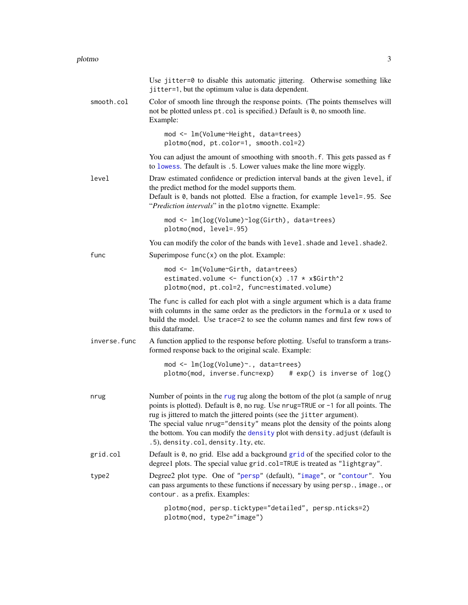<span id="page-2-0"></span>

|              | Use jitter=0 to disable this automatic jittering. Otherwise something like<br>jitter=1, but the optimum value is data dependent.                                                                                                                                                                                                                                                                                                                     |
|--------------|------------------------------------------------------------------------------------------------------------------------------------------------------------------------------------------------------------------------------------------------------------------------------------------------------------------------------------------------------------------------------------------------------------------------------------------------------|
| smooth.col   | Color of smooth line through the response points. (The points themselves will<br>not be plotted unless pt. col is specified.) Default is 0, no smooth line.<br>Example:                                                                                                                                                                                                                                                                              |
|              | mod <- lm(Volume~Height, data=trees)<br>plotmo(mod, pt.color=1, smooth.col=2)                                                                                                                                                                                                                                                                                                                                                                        |
|              | You can adjust the amount of smoothing with smooth. f. This gets passed as f<br>to lowess. The default is .5. Lower values make the line more wiggly.                                                                                                                                                                                                                                                                                                |
| level        | Draw estimated confidence or prediction interval bands at the given level, if<br>the predict method for the model supports them.<br>Default is 0, bands not plotted. Else a fraction, for example level=.95. See<br>"Prediction intervals" in the plotmo vignette. Example:                                                                                                                                                                          |
|              | mod <- lm(log(Volume)~log(Girth), data=trees)<br>plotmo(mod, level=.95)                                                                                                                                                                                                                                                                                                                                                                              |
|              | You can modify the color of the bands with level. shade and level. shade2.                                                                                                                                                                                                                                                                                                                                                                           |
| func         | Superimpose $func(x)$ on the plot. Example:                                                                                                                                                                                                                                                                                                                                                                                                          |
|              | mod <- lm(Volume~Girth, data=trees)<br>estimated.volume <- function(x) .17 * x\$Girth^2<br>plotmo(mod, pt.col=2, func=estimated.volume)                                                                                                                                                                                                                                                                                                              |
|              | The func is called for each plot with a single argument which is a data frame<br>with columns in the same order as the predictors in the formula or x used to<br>build the model. Use trace=2 to see the column names and first few rows of<br>this dataframe.                                                                                                                                                                                       |
| inverse.func | A function applied to the response before plotting. Useful to transform a trans-<br>formed response back to the original scale. Example:                                                                                                                                                                                                                                                                                                             |
|              | mod <- lm(log(Volume)~., data=trees)<br>plotmo(mod, inverse.func=exp)<br># exp() is inverse of log()                                                                                                                                                                                                                                                                                                                                                 |
| nrug         | Number of points in the rug rug along the bottom of the plot (a sample of nrug<br>points is plotted). Default is 0, no rug. Use nrug=TRUE or -1 for all points. The<br>rug is jittered to match the jittered points (see the jitter argument).<br>The special value nrug="density" means plot the density of the points along<br>the bottom. You can modify the density plot with density. adjust (default is<br>.5), density.col, density.lty, etc. |
| grid.col     | Default is 0, no grid. Else add a background grid of the specified color to the<br>degree1 plots. The special value grid.col=TRUE is treated as "lightgray".                                                                                                                                                                                                                                                                                         |
| type2        | Degree2 plot type. One of "persp" (default), "image", or "contour". You<br>can pass arguments to these functions if necessary by using persp., image., or<br>contour. as a prefix. Examples:                                                                                                                                                                                                                                                         |
|              | plotmo(mod, persp.ticktype="detailed", persp.nticks=2)<br>plotmo(mod, type2="image")                                                                                                                                                                                                                                                                                                                                                                 |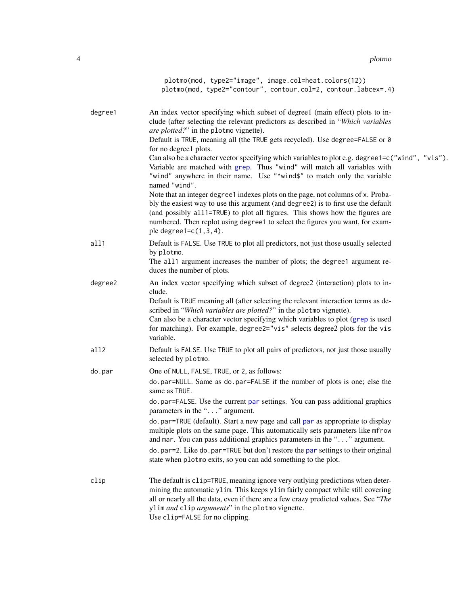<span id="page-3-0"></span>4 plotmometry and the set of the set of the set of the set of the set of the set of the set of the set of the set of the set of the set of the set of the set of the set of the set of the set of the set of the set of the se

|         | plotmo(mod, type2="image", image.col=heat.colors(12))<br>plotmo(mod, type2="contour", contour.col=2, contour.labcex=.4)                                                                                                                                                                                                                                                                                                                           |
|---------|---------------------------------------------------------------------------------------------------------------------------------------------------------------------------------------------------------------------------------------------------------------------------------------------------------------------------------------------------------------------------------------------------------------------------------------------------|
| degree1 | An index vector specifying which subset of degree1 (main effect) plots to in-<br>clude (after selecting the relevant predictors as described in "Which variables<br><i>are plotted?</i> " in the plotmo vignette).<br>Default is TRUE, meaning all (the TRUE gets recycled). Use degree=FALSE or 0<br>for no degree1 plots.<br>Can also be a character vector specifying which variables to plot e.g. degree1=c("wind", "vis").                   |
|         | Variable are matched with grep. Thus "wind" will match all variables with<br>"wind" anywhere in their name. Use "^wind\$" to match only the variable<br>named "wind".                                                                                                                                                                                                                                                                             |
|         | Note that an integer degree1 indexes plots on the page, not columns of x. Proba-<br>bly the easiest way to use this argument (and degree2) is to first use the default<br>(and possibly all1=TRUE) to plot all figures. This shows how the figures are<br>numbered. Then replot using degree1 to select the figures you want, for exam-<br>ple degree $1=c(1,3,4)$ .                                                                              |
| all1    | Default is FALSE. Use TRUE to plot all predictors, not just those usually selected<br>by plotmo.<br>The all1 argument increases the number of plots; the degree1 argument re-<br>duces the number of plots.                                                                                                                                                                                                                                       |
| degree2 | An index vector specifying which subset of degree2 (interaction) plots to in-<br>clude.<br>Default is TRUE meaning all (after selecting the relevant interaction terms as de-<br>scribed in "Which variables are plotted?" in the plotmo vignette).<br>Can also be a character vector specifying which variables to plot (grep is used<br>for matching). For example, degree2="vis" selects degree2 plots for the vis<br>variable.                |
| all2    | Default is FALSE. Use TRUE to plot all pairs of predictors, not just those usually<br>selected by plotmo.                                                                                                                                                                                                                                                                                                                                         |
| do.par  | One of NULL, FALSE, TRUE, or 2, as follows:<br>do.par=NULL. Same as do.par=FALSE if the number of plots is one; else the<br>same as TRUE.                                                                                                                                                                                                                                                                                                         |
|         | do.par=FALSE. Use the current par settings. You can pass additional graphics<br>parameters in the "" argument.<br>do.par=TRUE (default). Start a new page and call par as appropriate to display<br>multiple plots on the same page. This automatically sets parameters like mfrow<br>and mar. You can pass additional graphics parameters in the "" argument.<br>do.par=2. Like do.par=TRUE but don't restore the par settings to their original |
|         | state when plotmo exits, so you can add something to the plot.                                                                                                                                                                                                                                                                                                                                                                                    |
| clip    | The default is clip=TRUE, meaning ignore very outlying predictions when deter-<br>mining the automatic ylim. This keeps ylim fairly compact while still covering<br>all or nearly all the data, even if there are a few crazy predicted values. See "The<br>ylim and clip arguments" in the plotmo vignette.<br>Use clip=FALSE for no clipping.                                                                                                   |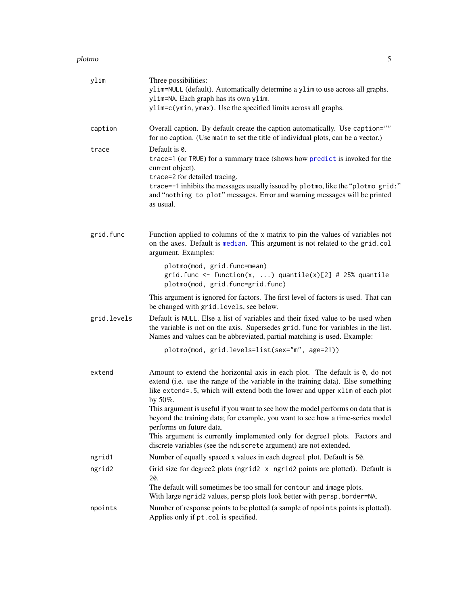#### <span id="page-4-0"></span>plotmo 50 and 50 and 50 and 50 and 50 and 50 and 50 and 50 and 50 and 50 and 50 and 50 and 50 and 50 and 50 and 50 and 50 and 50 and 50 and 50 and 50 and 50 and 50 and 50 and 50 and 50 and 50 and 50 and 50 and 50 and 50 an

| ylim        | Three possibilities:<br>ylim=NULL (default). Automatically determine a ylim to use across all graphs.<br>ylim=NA. Each graph has its own ylim.<br>ylim=c(ymin, ymax). Use the specified limits across all graphs.                                                                                                                                   |
|-------------|-----------------------------------------------------------------------------------------------------------------------------------------------------------------------------------------------------------------------------------------------------------------------------------------------------------------------------------------------------|
| caption     | Overall caption. By default create the caption automatically. Use caption=""<br>for no caption. (Use main to set the title of individual plots, can be a vector.)                                                                                                                                                                                   |
| trace       | Default is 0.<br>trace=1 (or TRUE) for a summary trace (shows how predict is invoked for the<br>current object).<br>trace=2 for detailed tracing.<br>trace=-1 inhibits the messages usually issued by plotmo, like the "plotmo grid:"<br>and "nothing to plot" messages. Error and warning messages will be printed<br>as usual.                    |
| grid.func   | Function applied to columns of the x matrix to pin the values of variables not<br>on the axes. Default is median. This argument is not related to the grid.col<br>argument. Examples:                                                                                                                                                               |
|             | plotmo(mod, grid.func=mean)<br>grid.func <- function(x, ) quantile(x)[2] # 25% quantile<br>plotmo(mod, grid.func=grid.func)                                                                                                                                                                                                                         |
|             | This argument is ignored for factors. The first level of factors is used. That can<br>be changed with grid. levels, see below.                                                                                                                                                                                                                      |
| grid.levels | Default is NULL. Else a list of variables and their fixed value to be used when<br>the variable is not on the axis. Supersedes grid. func for variables in the list.<br>Names and values can be abbreviated, partial matching is used. Example:                                                                                                     |
|             | plotmo(mod, grid.levels=list(sex="m", age=21))                                                                                                                                                                                                                                                                                                      |
| extend      | Amount to extend the horizontal axis in each plot. The default is 0, do not<br>extend (i.e. use the range of the variable in the training data). Else something<br>like extend=.5, which will extend both the lower and upper xlim of each plot<br>by $50\%$ .<br>This argument is useful if you want to see how the model performs on data that is |
|             | beyond the training data; for example, you want to see how a time-series model<br>performs on future data.<br>This argument is currently implemented only for degree1 plots. Factors and                                                                                                                                                            |
|             | discrete variables (see the ndiscrete argument) are not extended.                                                                                                                                                                                                                                                                                   |
| ngrid1      | Number of equally spaced x values in each degree1 plot. Default is 50.                                                                                                                                                                                                                                                                              |
| ngrid2      | Grid size for degree2 plots (ngrid2 x ngrid2 points are plotted). Default is<br>20.<br>The default will sometimes be too small for contour and image plots.<br>With large ngrid2 values, persp plots look better with persp.border=NA.                                                                                                              |
| npoints     | Number of response points to be plotted (a sample of npoints points is plotted).<br>Applies only if pt.col is specified.                                                                                                                                                                                                                            |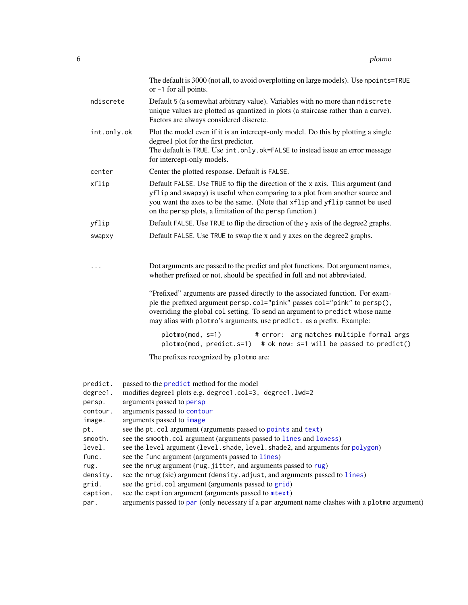<span id="page-5-0"></span>

|                                                      | The default is 3000 (not all, to avoid overplotting on large models). Use npoints=TRUE<br>or -1 for all points.                                                                                                                                                                                                     |
|------------------------------------------------------|---------------------------------------------------------------------------------------------------------------------------------------------------------------------------------------------------------------------------------------------------------------------------------------------------------------------|
| ndiscrete                                            | Default 5 (a somewhat arbitrary value). Variables with no more than ndiscrete<br>unique values are plotted as quantized in plots (a staircase rather than a curve).<br>Factors are always considered discrete.                                                                                                      |
| int.only.ok                                          | Plot the model even if it is an intercept-only model. Do this by plotting a single<br>degree1 plot for the first predictor.<br>The default is TRUE. Use int.only.ok=FALSE to instead issue an error message<br>for intercept-only models.                                                                           |
| center                                               | Center the plotted response. Default is FALSE.                                                                                                                                                                                                                                                                      |
| xflip                                                | Default FALSE. Use TRUE to flip the direction of the x axis. This argument (and<br>yflip and swapxy) is useful when comparing to a plot from another source and<br>you want the axes to be the same. (Note that xflip and yflip cannot be used<br>on the persp plots, a limitation of the persp function.)          |
| yflip                                                | Default FALSE. Use TRUE to flip the direction of the y axis of the degree2 graphs.                                                                                                                                                                                                                                  |
| swapxy                                               | Default FALSE. Use TRUE to swap the x and y axes on the degree2 graphs.                                                                                                                                                                                                                                             |
|                                                      | Dot arguments are passed to the predict and plot functions. Dot argument names,<br>whether prefixed or not, should be specified in full and not abbreviated.                                                                                                                                                        |
|                                                      | "Prefixed" arguments are passed directly to the associated function. For exam-<br>ple the prefixed argument persp.col="pink" passes col="pink" to persp(),<br>overriding the global col setting. To send an argument to predict whose name<br>may alias with plotmo's arguments, use predict. as a prefix. Example: |
|                                                      | plotmo(mod, s=1)<br># error: arg matches multiple formal args<br>plotmo(mod, predict.s=1) # ok now: s=1 will be passed to predict()                                                                                                                                                                                 |
|                                                      | The prefixes recognized by plotmo are:                                                                                                                                                                                                                                                                              |
| predict.<br>degree1.<br>persp.<br>contour.<br>image. | passed to the predict method for the model<br>modifies degree1 plots e.g. degree1.col=3, degree1.lwd=2<br>arguments passed to persp<br>arguments passed to contour<br>arguments passed to image                                                                                                                     |
| pt.                                                  | see the pt. col argument (arguments passed to points and text)                                                                                                                                                                                                                                                      |

- smooth. see the smooth.col argument (arguments passed to [lines](#page-0-0) and [lowess](#page-0-0))
- level. see the level argument (level.shade, level.shade2, and arguments for [polygon](#page-0-0))
- func. see the func argument (arguments passed to [lines](#page-0-0))
- [rug](#page-0-0). see the nrug argument (rug. jitter, and arguments passed to rug)
- density. see the nrug (sic) argument (density.adjust, and arguments passed to [lines](#page-0-0))
- grid. see the grid.col argument (arguments passed to [grid](#page-0-0))
- caption. see the caption argument (arguments passed to [mtext](#page-0-0))
- par. arguments passed to [par](#page-0-0) (only necessary if a par argument name clashes with a plotmo argument)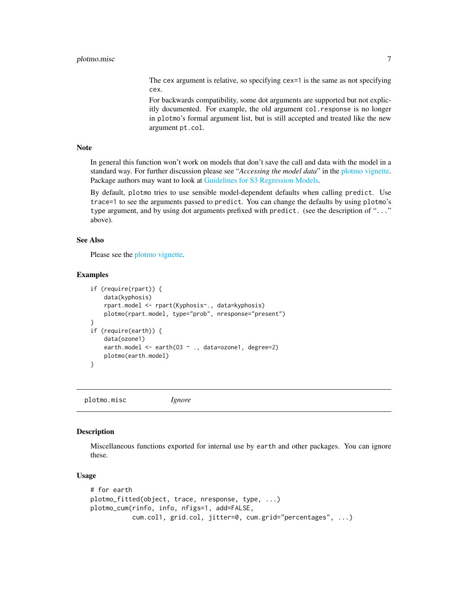#### <span id="page-6-0"></span>plotmo.misc 7

The cex argument is relative, so specifying cex=1 is the same as not specifying cex.

For backwards compatibility, some dot arguments are supported but not explicitly documented. For example, the old argument col.response is no longer in plotmo's formal argument list, but is still accepted and treated like the new argument pt.col.

#### Note

In general this function won't work on models that don't save the call and data with the model in a standard way. For further discussion please see "*Accessing the model data*" in the [plotmo vignette.](#page-0-0) Package authors may want to look at [Guidelines for S3 Regression Models.](#page-0-0)

By default, plotmo tries to use sensible model-dependent defaults when calling predict. Use trace=1 to see the arguments passed to predict. You can change the defaults by using plotmo's type argument, and by using dot arguments prefixed with predict. (see the description of "..." above).

#### See Also

Please see the [plotmo vignette.](#page-0-0)

#### Examples

```
if (require(rpart)) {
   data(kyphosis)
    rpart.model <- rpart(Kyphosis~., data=kyphosis)
   plotmo(rpart.model, type="prob", nresponse="present")
}
if (require(earth)) {
    data(ozone1)
    earth.model <- earth(03 ~ ., data=ozone1, degree=2)
   plotmo(earth.model)
}
```
plotmo.misc *Ignore*

#### Description

Miscellaneous functions exported for internal use by earth and other packages. You can ignore these.

#### Usage

```
# for earth
plotmo_fitted(object, trace, nresponse, type, ...)
plotmo_cum(rinfo, info, nfigs=1, add=FALSE,
          cum.col1, grid.col, jitter=0, cum.grid="percentages", ...)
```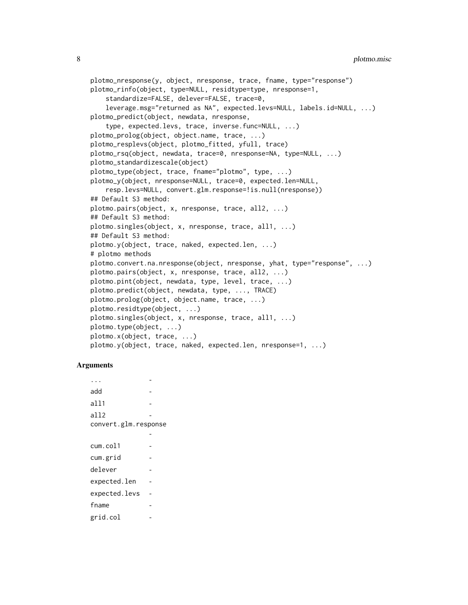```
plotmo_nresponse(y, object, nresponse, trace, fname, type="response")
plotmo_rinfo(object, type=NULL, residtype=type, nresponse=1,
    standardize=FALSE, delever=FALSE, trace=0,
    leverage.msg="returned as NA", expected.levs=NULL, labels.id=NULL, ...)
plotmo_predict(object, newdata, nresponse,
    type, expected.levs, trace, inverse.func=NULL, ...)
plotmo_prolog(object, object.name, trace, ...)
plotmo_resplevs(object, plotmo_fitted, yfull, trace)
plotmo_rsq(object, newdata, trace=0, nresponse=NA, type=NULL, ...)
plotmo_standardizescale(object)
plotmo_type(object, trace, fname="plotmo", type, ...)
plotmo_y(object, nresponse=NULL, trace=0, expected.len=NULL,
    resp.levs=NULL, convert.glm.response=!is.null(nresponse))
## Default S3 method:
plotmo.pairs(object, x, nresponse, trace, all2, ...)
## Default S3 method:
plotmo.singles(object, x, nresponse, trace, all1, ...)
## Default S3 method:
plotmo.y(object, trace, naked, expected.len, ...)
# plotmo methods
plotmo.convert.na.nresponse(object, nresponse, yhat, type="response", ...)
plotmo.pairs(object, x, nresponse, trace, all2, ...)
plotmo.pint(object, newdata, type, level, trace, ...)
plotmo.predict(object, newdata, type, ..., TRACE)
plotmo.prolog(object, object.name, trace, ...)
plotmo.residtype(object, ...)
plotmo.singles(object, x, nresponse, trace, all1, ...)
plotmo.type(object, ...)
plotmo.x(object, trace, ...)
plotmo.y(object, trace, naked, expected.len, nresponse=1, ...)
```
#### Arguments

... add all1 all2 convert.glm.response cum.col1 cum.grid delever expected.len expected.levs fname grid.col -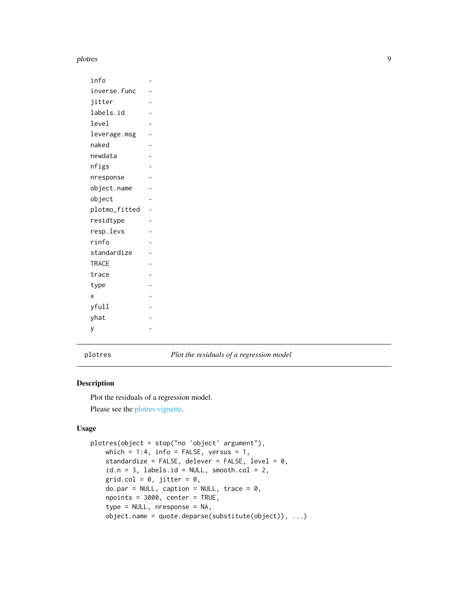#### <span id="page-8-0"></span>plotres that the plot of the set of the set of the set of the set of the set of the set of the set of the set of the set of the set of the set of the set of the set of the set of the set of the set of the set of the set of

| info          |  |
|---------------|--|
| inverse.func  |  |
| jitter        |  |
| labels.id     |  |
| level         |  |
| leverage.msg  |  |
| naked         |  |
| newdata       |  |
| nfigs         |  |
| nresponse     |  |
| object.name   |  |
| object        |  |
| plotmo_fitted |  |
| residtype     |  |
| resp.levs     |  |
| rinfo         |  |
| standardize   |  |
| <b>TRACE</b>  |  |
| trace         |  |
| type          |  |
| X             |  |
| yfull         |  |
| yhat          |  |
| y             |  |

<span id="page-8-1"></span>

plotres *Plot the residuals of a regression model*

#### Description

Plot the residuals of a regression model. Please see the [plotres vignette.](#page-0-0)

#### Usage

```
plotres(object = stop("no 'object' argument"),
   which = 1:4, info = FALSE, versus = 1,
   standardize = FALSE, delever = FALSE, level = 0,
   id.n = 3, labels.id = NULL, smooth.col = 2,
   grid.col = 0, jitter = 0,
   do.par = NULL, caption = NULL, trace = 0,npoints = 3000, center = TRUE,
   type = NULL, nresponse = NA,
   object.name = quote.deparse(substitute(object)), ...)
```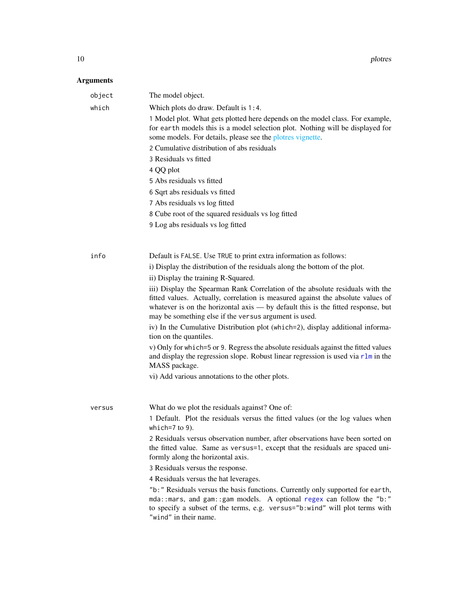<span id="page-9-0"></span>10 plottes and plottes and plottes and plottes and plottes and plottes and plottes and plottes and plottes and plottes and plottes and plottes and plottes and plottes and plottes and plottes and plottes and plottes and plo

| object | The model object.                                                                                                                                                                                                                                                 |
|--------|-------------------------------------------------------------------------------------------------------------------------------------------------------------------------------------------------------------------------------------------------------------------|
| which  | Which plots do draw. Default is 1:4.                                                                                                                                                                                                                              |
|        | 1 Model plot. What gets plotted here depends on the model class. For example,<br>for earth models this is a model selection plot. Nothing will be displayed for<br>some models. For details, please see the plotres vignette.                                     |
|        | 2 Cumulative distribution of abs residuals                                                                                                                                                                                                                        |
|        | 3 Residuals vs fitted                                                                                                                                                                                                                                             |
|        | 4 QQ plot                                                                                                                                                                                                                                                         |
|        | 5 Abs residuals vs fitted                                                                                                                                                                                                                                         |
|        | 6 Sqrt abs residuals vs fitted                                                                                                                                                                                                                                    |
|        | 7 Abs residuals vs log fitted                                                                                                                                                                                                                                     |
|        | 8 Cube root of the squared residuals vs log fitted                                                                                                                                                                                                                |
|        | 9 Log abs residuals vs log fitted                                                                                                                                                                                                                                 |
|        |                                                                                                                                                                                                                                                                   |
| info   | Default is FALSE. Use TRUE to print extra information as follows:                                                                                                                                                                                                 |
|        | i) Display the distribution of the residuals along the bottom of the plot.                                                                                                                                                                                        |
|        | ii) Display the training R-Squared.                                                                                                                                                                                                                               |
|        | iii) Display the Spearman Rank Correlation of the absolute residuals with the                                                                                                                                                                                     |
|        | fitted values. Actually, correlation is measured against the absolute values of<br>whatever is on the horizontal $axis - by$ default this is the fitted response, but<br>may be something else if the versus argument is used.                                    |
|        | iv) In the Cumulative Distribution plot (which=2), display additional informa-<br>tion on the quantiles.                                                                                                                                                          |
|        | v) Only for which=5 or 9. Regress the absolute residuals against the fitted values<br>and display the regression slope. Robust linear regression is used via $r \ln n$ in the<br>MASS package.                                                                    |
|        | vi) Add various annotations to the other plots.                                                                                                                                                                                                                   |
|        |                                                                                                                                                                                                                                                                   |
| versus | What do we plot the residuals against? One of:                                                                                                                                                                                                                    |
|        | 1 Default. Plot the residuals versus the fitted values (or the log values when                                                                                                                                                                                    |
|        | which= $7$ to $9$ ).                                                                                                                                                                                                                                              |
|        | 2 Residuals versus observation number, after observations have been sorted on<br>the fitted value. Same as versus=1, except that the residuals are spaced uni-<br>formly along the horizontal axis.                                                               |
|        | 3 Residuals versus the response.                                                                                                                                                                                                                                  |
|        | 4 Residuals versus the hat leverages.                                                                                                                                                                                                                             |
|        | "b: " Residuals versus the basis functions. Currently only supported for earth,<br>mda:: mars, and gam:: gam models. A optional regex can follow the "b:"<br>to specify a subset of the terms, e.g. versus="b:wind" will plot terms with<br>"wind" in their name. |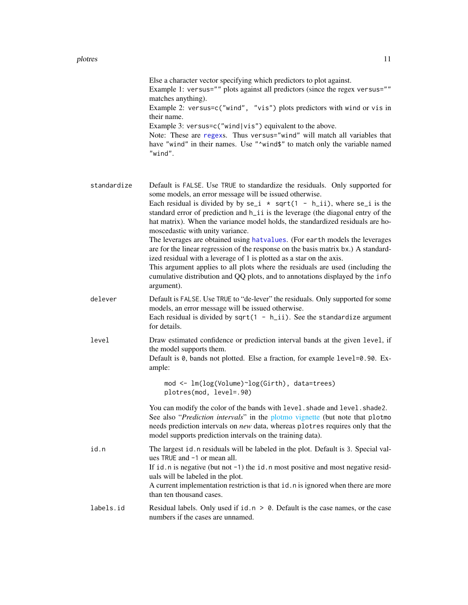#### <span id="page-10-0"></span>plotres and the set of the set of the set of the set of the set of the set of the set of the set of the set of the set of the set of the set of the set of the set of the set of the set of the set of the set of the set of t

|             | Else a character vector specifying which predictors to plot against.<br>Example 1: versus="" plots against all predictors (since the regex versus=""<br>matches anything).<br>Example 2: versus=c("wind", "vis") plots predictors with wind or vis in<br>their name.<br>Example 3: versus=c("wind vis") equivalent to the above.<br>Note: These are regexs. Thus versus="wind" will match all variables that<br>have "wind" in their names. Use "^wind\$" to match only the variable named<br>"wind".                                                                                                                                                                                                                                                                                                                                                              |
|-------------|--------------------------------------------------------------------------------------------------------------------------------------------------------------------------------------------------------------------------------------------------------------------------------------------------------------------------------------------------------------------------------------------------------------------------------------------------------------------------------------------------------------------------------------------------------------------------------------------------------------------------------------------------------------------------------------------------------------------------------------------------------------------------------------------------------------------------------------------------------------------|
| standardize | Default is FALSE. Use TRUE to standardize the residuals. Only supported for<br>some models, an error message will be issued otherwise.<br>Each residual is divided by by $se_i \star sqrt(1 - h_i)$ , where $se_i$ is the<br>standard error of prediction and h_ii is the leverage (the diagonal entry of the<br>hat matrix). When the variance model holds, the standardized residuals are ho-<br>moscedastic with unity variance.<br>The leverages are obtained using hatvalues. (For earth models the leverages<br>are for the linear regression of the response on the basis matrix bx.) A standard-<br>ized residual with a leverage of 1 is plotted as a star on the axis.<br>This argument applies to all plots where the residuals are used (including the<br>cumulative distribution and QQ plots, and to annotations displayed by the info<br>argument). |
| delever     | Default is FALSE. Use TRUE to "de-lever" the residuals. Only supported for some<br>models, an error message will be issued otherwise.<br>Each residual is divided by $sqrt(1 - h_i i)$ . See the standardize argument<br>for details.                                                                                                                                                                                                                                                                                                                                                                                                                                                                                                                                                                                                                              |
| level       | Draw estimated confidence or prediction interval bands at the given level, if<br>the model supports them.<br>Default is 0, bands not plotted. Else a fraction, for example level=0.90. Ex-<br>ample:                                                                                                                                                                                                                                                                                                                                                                                                                                                                                                                                                                                                                                                               |
|             | mod <- lm(log(Volume)~log(Girth), data=trees)<br>plotres(mod, level=.90)                                                                                                                                                                                                                                                                                                                                                                                                                                                                                                                                                                                                                                                                                                                                                                                           |
|             | You can modify the color of the bands with level. shade and level. shade2.<br>See also "Prediction intervals" in the plotmo vignette (but note that plotmo<br>needs prediction intervals on new data, whereas plotres requires only that the<br>model supports prediction intervals on the training data).                                                                                                                                                                                                                                                                                                                                                                                                                                                                                                                                                         |
| id.n        | The largest id. n residuals will be labeled in the plot. Default is 3. Special val-<br>ues TRUE and -1 or mean all.<br>If id. n is negative (but not -1) the id. n most positive and most negative resid-<br>uals will be labeled in the plot.<br>A current implementation restriction is that id. n is ignored when there are more<br>than ten thousand cases.                                                                                                                                                                                                                                                                                                                                                                                                                                                                                                    |
| labels.id   | Residual labels. Only used if $id.n > 0$ . Default is the case names, or the case<br>numbers if the cases are unnamed                                                                                                                                                                                                                                                                                                                                                                                                                                                                                                                                                                                                                                                                                                                                              |

numbers if the cases are unnamed.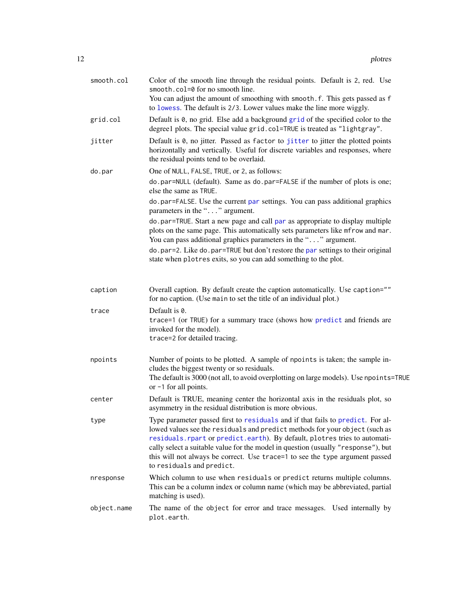<span id="page-11-0"></span>

| smooth.col  | Color of the smooth line through the residual points. Default is 2, red. Use<br>smooth.col=0 for no smooth line.<br>You can adjust the amount of smoothing with smooth. f. This gets passed as f<br>to lowess. The default is 2/3. Lower values make the line more wiggly.                                                                                                                                                                     |
|-------------|------------------------------------------------------------------------------------------------------------------------------------------------------------------------------------------------------------------------------------------------------------------------------------------------------------------------------------------------------------------------------------------------------------------------------------------------|
| grid.col    | Default is 0, no grid. Else add a background grid of the specified color to the<br>degree1 plots. The special value grid.col=TRUE is treated as "lightgray".                                                                                                                                                                                                                                                                                   |
| jitter      | Default is 0, no jitter. Passed as factor to jitter to jitter the plotted points<br>horizontally and vertically. Useful for discrete variables and responses, where<br>the residual points tend to be overlaid.                                                                                                                                                                                                                                |
| do.par      | One of NULL, FALSE, TRUE, or 2, as follows:                                                                                                                                                                                                                                                                                                                                                                                                    |
|             | do.par=NULL (default). Same as do.par=FALSE if the number of plots is one;<br>else the same as TRUE.                                                                                                                                                                                                                                                                                                                                           |
|             | do.par=FALSE. Use the current par settings. You can pass additional graphics<br>parameters in the "" argument.                                                                                                                                                                                                                                                                                                                                 |
|             | do.par=TRUE. Start a new page and call par as appropriate to display multiple<br>plots on the same page. This automatically sets parameters like mfrow and mar.<br>You can pass additional graphics parameters in the "" argument.                                                                                                                                                                                                             |
|             | do.par=2. Like do.par=TRUE but don't restore the par settings to their original<br>state when plotres exits, so you can add something to the plot.                                                                                                                                                                                                                                                                                             |
| caption     | Overall caption. By default create the caption automatically. Use caption=""<br>for no caption. (Use main to set the title of an individual plot.)                                                                                                                                                                                                                                                                                             |
| trace       | Default is 0.<br>trace=1 (or TRUE) for a summary trace (shows how predict and friends are<br>invoked for the model).<br>trace=2 for detailed tracing.                                                                                                                                                                                                                                                                                          |
| npoints     | Number of points to be plotted. A sample of npoints is taken; the sample in-<br>cludes the biggest twenty or so residuals.<br>The default is 3000 (not all, to avoid overplotting on large models). Use npoints=TRUE<br>or -1 for all points.                                                                                                                                                                                                  |
| center      | Default is TRUE, meaning center the horizontal axis in the residuals plot, so<br>asymmetry in the residual distribution is more obvious.                                                                                                                                                                                                                                                                                                       |
| type        | Type parameter passed first to residuals and if that fails to predict. For al-<br>lowed values see the residuals and predict methods for your object (such as<br>residuals. rpart or predict. earth). By default, plotres tries to automati-<br>cally select a suitable value for the model in question (usually "response"), but<br>this will not always be correct. Use trace=1 to see the type argument passed<br>to residuals and predict. |
| nresponse   | Which column to use when residuals or predict returns multiple columns.<br>This can be a column index or column name (which may be abbreviated, partial<br>matching is used).                                                                                                                                                                                                                                                                  |
| object.name | The name of the object for error and trace messages. Used internally by<br>plot.earth.                                                                                                                                                                                                                                                                                                                                                         |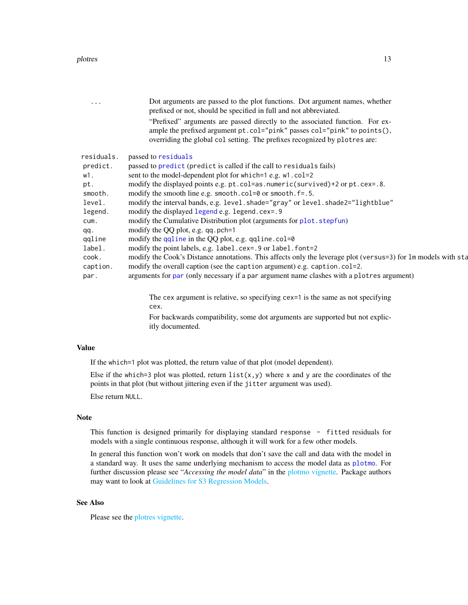<span id="page-12-0"></span>

| $\cdots$   | Dot arguments are passed to the plot functions. Dot argument names, whether<br>prefixed or not, should be specified in full and not abbreviated.                                                                                       |
|------------|----------------------------------------------------------------------------------------------------------------------------------------------------------------------------------------------------------------------------------------|
|            | "Prefixed" arguments are passed directly to the associated function. For ex-<br>ample the prefixed argument pt.col="pink" passes col="pink" to points(),<br>overriding the global col setting. The prefixes recognized by plotres are: |
| residuals. | passed to residuals                                                                                                                                                                                                                    |
| predict.   | passed to predict (predict is called if the call to residuals fails)                                                                                                                                                                   |
| w1.        | sent to the model-dependent plot for which=1 e.g. w1.col=2                                                                                                                                                                             |
| pt.        | modify the displayed points e.g. pt.col=as.numeric(survived)+2 or pt.cex=.8.                                                                                                                                                           |
| smooth.    | modify the smooth line e.g. smooth.col=0 or smooth.f=.5.                                                                                                                                                                               |
| level.     | modify the interval bands, e.g. level.shade="gray" or level.shade2="lightblue"                                                                                                                                                         |
| legend.    | modify the displayed legend e.g. legend.cex=.9                                                                                                                                                                                         |
| cum.       | modify the Cumulative Distribution plot (arguments for plot. stepfun)                                                                                                                                                                  |
| qq.        | modify the QQ plot, e.g. qq. pch=1                                                                                                                                                                                                     |
| qqline     | modify the $qqline$ in the QQ plot, e.g. $qqline$ . $col=0$                                                                                                                                                                            |
| label.     | modify the point labels, e.g. label.cex=.9 or label.font=2                                                                                                                                                                             |
| cook.      | modify the Cook's Distance annotations. This affects only the leverage plot (versus=3) for 1m models with sta                                                                                                                          |
| caption.   | modify the overall caption (see the caption argument) e.g. caption.col=2.                                                                                                                                                              |
| par.       | arguments for par (only necessary if a par argument name clashes with a plotres argument)                                                                                                                                              |
|            | The cex argument is relative, so specifying cex=1 is the same as not specifying                                                                                                                                                        |
|            | cex.                                                                                                                                                                                                                                   |

For backwards compatibility, some dot arguments are supported but not explicitly documented.

#### Value

If the which=1 plot was plotted, the return value of that plot (model dependent).

Else if the which=3 plot was plotted, return list(x,y) where x and y are the coordinates of the points in that plot (but without jittering even if the jitter argument was used).

Else return NULL.

#### Note

This function is designed primarily for displaying standard response - fitted residuals for models with a single continuous response, although it will work for a few other models.

In general this function won't work on models that don't save the call and data with the model in a standard way. It uses the same underlying mechanism to access the model data as [plotmo](#page-1-1). For further discussion please see "*Accessing the model data*" in the [plotmo vignette.](#page-0-0) Package authors may want to look at [Guidelines for S3 Regression Models.](#page-0-0)

#### See Also

Please see the [plotres vignette.](#page-0-0)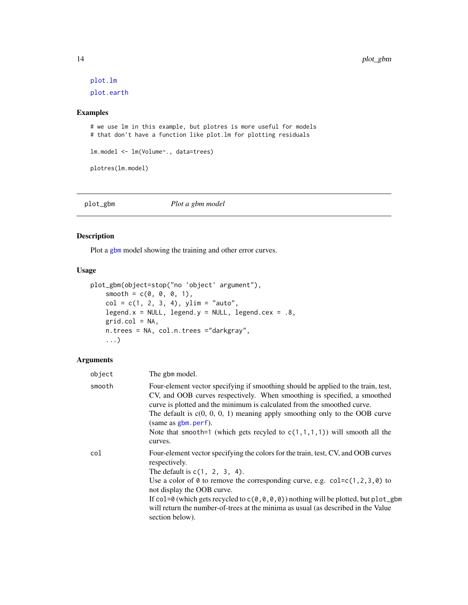[plot.lm](#page-0-0) [plot.earth](#page-0-0)

#### Examples

```
# we use lm in this example, but plotres is more useful for models
# that don't have a function like plot.lm for plotting residuals
lm.model <- lm(Volume~., data=trees)
plotres(lm.model)
```
plot\_gbm *Plot a gbm model*

#### Description

Plot a [gbm](#page-0-0) model showing the training and other error curves.

#### Usage

```
plot_gbm(object=stop("no 'object' argument"),
    smooth = c(0, 0, 0, 1),col = c(1, 2, 3, 4), ylim = "auto",legend.x = NULL, legend.y = NULL, legend.cex = .8,grid.col = NA,
   n.trees = NA, col.n.trees ="darkgray",
    ...)
```

| object | The gbm model.                                                                                                                                                                                                                                                                                                                                                                                                                                           |
|--------|----------------------------------------------------------------------------------------------------------------------------------------------------------------------------------------------------------------------------------------------------------------------------------------------------------------------------------------------------------------------------------------------------------------------------------------------------------|
| smooth | Four-element vector specifying if smoothing should be applied to the train, test,<br>CV, and OOB curves respectively. When smoothing is specified, a smoothed<br>curve is plotted and the minimum is calculated from the smoothed curve.<br>The default is $c(0, 0, 0, 1)$ meaning apply smoothing only to the OOB curve<br>(same as gbm.perf).<br>Note that smooth=1 (which gets recyled to $c(1,1,1,1)$ ) will smooth all the<br>curves.               |
| col    | Four-element vector specifying the colors for the train, test, CV, and OOB curves<br>respectively.<br>The default is $c(1, 2, 3, 4)$ .<br>Use a color of 0 to remove the corresponding curve, e.g. $col=c(1,2,3,0)$ to<br>not display the OOB curve.<br>If col=0 (which gets recycled to $c(0, 0, 0, 0)$ ) nothing will be plotted, but plot_gbm<br>will return the number-of-trees at the minima as usual (as described in the Value<br>section below). |

<span id="page-13-0"></span>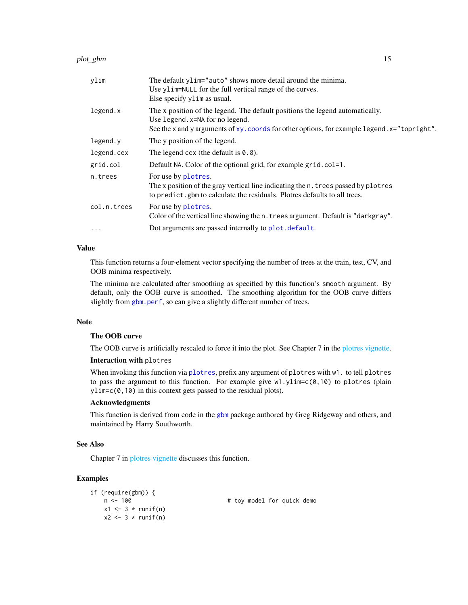#### <span id="page-14-0"></span>plot\_gbm 15

| ylim        | The default ylim="auto" shows more detail around the minima.<br>Use ylim=NULL for the full vertical range of the curves.<br>Else specify y l im as usual.                                                        |
|-------------|------------------------------------------------------------------------------------------------------------------------------------------------------------------------------------------------------------------|
| legend.x    | The x position of the legend. The default positions the legend automatically.<br>Use legend. x=NA for no legend.<br>See the x and y arguments of xy. coords for other options, for example legend. x="topright". |
| legend.y    | The y position of the legend.                                                                                                                                                                                    |
| legend.cex  | The legend cex (the default is $0.8$ ).                                                                                                                                                                          |
| grid.col    | Default NA. Color of the optional grid, for example grid.col=1.                                                                                                                                                  |
| n.trees     | For use by plotres.<br>The x position of the gray vertical line indicating the n. trees passed by plotres<br>to predict. gbm to calculate the residuals. Plotres defaults to all trees.                          |
| col.n.trees | For use by plotres.<br>Color of the vertical line showing the n. trees argument. Default is "darkgray".                                                                                                          |
| $\cdots$    | Dot arguments are passed internally to plot. default.                                                                                                                                                            |

#### Value

This function returns a four-element vector specifying the number of trees at the train, test, CV, and OOB minima respectively.

The minima are calculated after smoothing as specified by this function's smooth argument. By default, only the OOB curve is smoothed. The smoothing algorithm for the OOB curve differs slightly from [gbm.perf](#page-0-0), so can give a slightly different number of trees.

#### Note

#### The OOB curve

The OOB curve is artificially rescaled to force it into the plot. See Chapter 7 in the [plotres vignette.](#page-0-0)

#### Interaction with plotres

When invoking this function via [plotres](#page-8-1), prefix any argument of plotres with  $w1$ . to tell plotres to pass the argument to this function. For example give  $w1.y\text{lim} = c(0,10)$  to plotres (plain ylim=c(0,10) in this context gets passed to the residual plots).

#### Acknowledgments

This function is derived from code in the [gbm](#page-0-0) package authored by Greg Ridgeway and others, and maintained by Harry Southworth.

#### See Also

Chapter 7 in [plotres vignette](#page-0-0) discusses this function.

#### Examples

```
if (require(gbm)) {
   n <- 100 + toy model for quick demo
   x1 \leftarrow 3 * runif(n)x2 \leftarrow 3 * runif(n)
```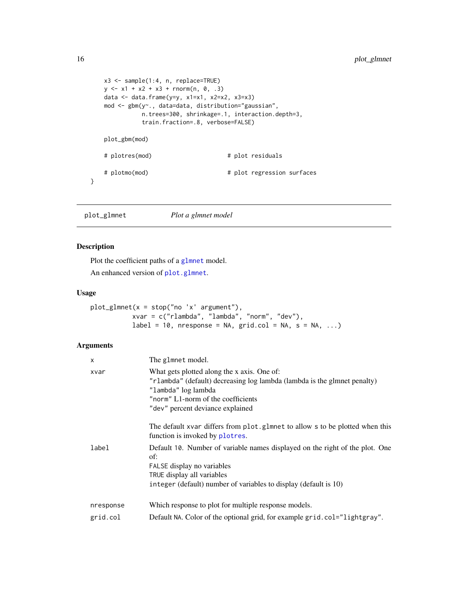```
x3 <- sample(1:4, n, replace=TRUE)
   y \le -x1 + x2 + x3 + \text{norm}(n, 0, .3)data <- data.frame(y=y, x1=x1, x2=x2, x3=x3)
   mod <- gbm(y~., data=data, distribution="gaussian",
             n.trees=300, shrinkage=.1, interaction.depth=3,
             train.fraction=.8, verbose=FALSE)
   plot_gbm(mod)
   # plotres(mod) # plot residuals
   # plotmo(mod) # plot regression surfaces
}
```
plot\_glmnet *Plot a glmnet model*

#### Description

Plot the coefficient paths of a [glmnet](#page-0-0) model.

An enhanced version of [plot.glmnet](#page-0-0).

#### Usage

plot\_glmnet(x = stop("no 'x' argument"), xvar = c("rlambda", "lambda", "norm", "dev"),  $label = 10$ , nresponse = NA, grid.col = NA, s = NA, ...)

| $\times$  | The glmnet model.                                                                                                                                                                                                        |
|-----------|--------------------------------------------------------------------------------------------------------------------------------------------------------------------------------------------------------------------------|
| xvar      | What gets plotted along the x axis. One of:<br>"rlambda" (default) decreasing log lambda (lambda is the glmnet penalty)<br>"lambda" log lambda<br>"norm" L1-norm of the coefficients<br>"dev" percent deviance explained |
|           | The default xvar differs from plot.glmnet to allow s to be plotted when this<br>function is invoked by plotres.                                                                                                          |
| label     | Default 10. Number of variable names displayed on the right of the plot. One<br>of:<br>FALSE display no variables<br>TRUE display all variables<br>integer (default) number of variables to display (default is 10)      |
| nresponse | Which response to plot for multiple response models.                                                                                                                                                                     |
| grid.col  | Default NA. Color of the optional grid, for example grid.col="lightgray".                                                                                                                                                |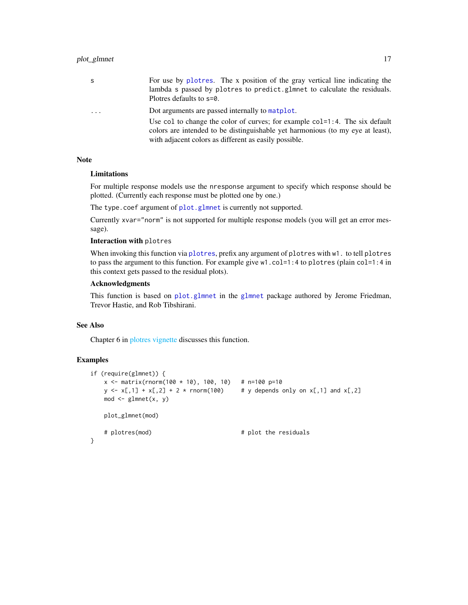<span id="page-16-0"></span>

| S                       | For use by plotes. The x position of the gray vertical line indicating the<br>lambda s passed by plotres to predict.glmnet to calculate the residuals.<br>Plotres defaults to s=0.                                                                                           |
|-------------------------|------------------------------------------------------------------------------------------------------------------------------------------------------------------------------------------------------------------------------------------------------------------------------|
| $\cdot$ $\cdot$ $\cdot$ | Dot arguments are passed internally to matplot.<br>Use col to change the color of curves; for example $col=1:4$ . The six default<br>colors are intended to be distinguishable yet harmonious (to my eye at least),<br>with adjacent colors as different as easily possible. |

#### Note

#### Limitations

For multiple response models use the nresponse argument to specify which response should be plotted. (Currently each response must be plotted one by one.)

The type.coef argument of [plot.glmnet](#page-0-0) is currently not supported.

Currently xvar="norm" is not supported for multiple response models (you will get an error message).

#### Interaction with plotres

When invoking this function via [plotres](#page-8-1), prefix any argument of plotres with w1. to tell plotres to pass the argument to this function. For example give w1.col=1:4 to plotres (plain col=1:4 in this context gets passed to the residual plots).

#### Acknowledgments

This function is based on [plot.glmnet](#page-0-0) in the [glmnet](#page-0-0) package authored by Jerome Friedman, Trevor Hastie, and Rob Tibshirani.

#### See Also

Chapter 6 in [plotres vignette](#page-0-0) discusses this function.

#### Examples

```
if (require(glmnet)) {
   x \le - matrix(rnorm(100 * 10), 100, 10) # n=100 p=10
   y \leftarrow x[,1] + x[,2] + 2 * rnorm(100) # y depends only on x[,1] and x[,2]mod \leftarrow glmnet(x, y)plot_glmnet(mod)
   # plotres(mod) # plot the residuals
}
```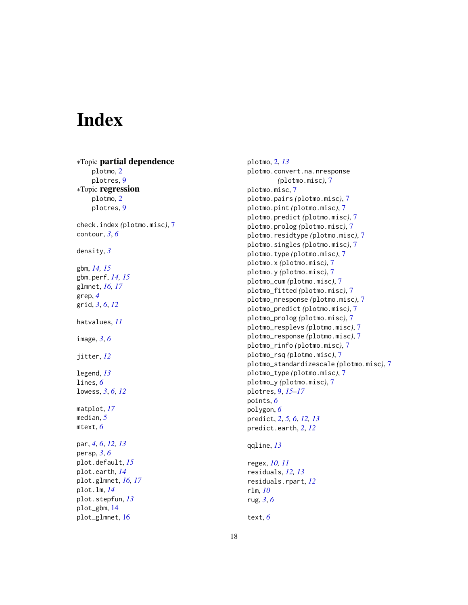# <span id="page-17-0"></span>Index

∗Topic partial dependence plotmo, [2](#page-1-0) plotres, [9](#page-8-0) ∗Topic regression plotmo, [2](#page-1-0) plotres, [9](#page-8-0) check.index *(*plotmo.misc*)*, [7](#page-6-0) contour, *[3](#page-2-0)*, *[6](#page-5-0)* density, *[3](#page-2-0)* gbm, *[14,](#page-13-0) [15](#page-14-0)* gbm.perf, *[14,](#page-13-0) [15](#page-14-0)* glmnet, *[16,](#page-15-0) [17](#page-16-0)* grep, *[4](#page-3-0)* grid, *[3](#page-2-0)*, *[6](#page-5-0)*, *[12](#page-11-0)* hatvalues, *[11](#page-10-0)* image, *[3](#page-2-0)*, *[6](#page-5-0)* jitter, *[12](#page-11-0)* legend, *[13](#page-12-0)* lines, *[6](#page-5-0)* lowess, *[3](#page-2-0)*, *[6](#page-5-0)*, *[12](#page-11-0)* matplot, *[17](#page-16-0)* median, *[5](#page-4-0)* mtext, *[6](#page-5-0)* par, *[4](#page-3-0)*, *[6](#page-5-0)*, *[12,](#page-11-0) [13](#page-12-0)* persp, *[3](#page-2-0)*, *[6](#page-5-0)* plot.default, *[15](#page-14-0)* plot.earth, *[14](#page-13-0)* plot.glmnet, *[16,](#page-15-0) [17](#page-16-0)* plot.lm, *[14](#page-13-0)* plot.stepfun, *[13](#page-12-0)* plot\_gbm, [14](#page-13-0) plot\_glmnet, [16](#page-15-0)

plotmo, [2,](#page-1-0) *[13](#page-12-0)* plotmo.convert.na.nresponse *(*plotmo.misc*)*, [7](#page-6-0) plotmo.misc, [7](#page-6-0) plotmo.pairs *(*plotmo.misc*)*, [7](#page-6-0) plotmo.pint *(*plotmo.misc*)*, [7](#page-6-0) plotmo.predict *(*plotmo.misc*)*, [7](#page-6-0) plotmo.prolog *(*plotmo.misc*)*, [7](#page-6-0) plotmo.residtype *(*plotmo.misc*)*, [7](#page-6-0) plotmo.singles *(*plotmo.misc*)*, [7](#page-6-0) plotmo.type *(*plotmo.misc*)*, [7](#page-6-0) plotmo.x *(*plotmo.misc*)*, [7](#page-6-0) plotmo.y *(*plotmo.misc*)*, [7](#page-6-0) plotmo\_cum *(*plotmo.misc*)*, [7](#page-6-0) plotmo\_fitted *(*plotmo.misc*)*, [7](#page-6-0) plotmo\_nresponse *(*plotmo.misc*)*, [7](#page-6-0) plotmo\_predict *(*plotmo.misc*)*, [7](#page-6-0) plotmo\_prolog *(*plotmo.misc*)*, [7](#page-6-0) plotmo\_resplevs *(*plotmo.misc*)*, [7](#page-6-0) plotmo\_response *(*plotmo.misc*)*, [7](#page-6-0) plotmo\_rinfo *(*plotmo.misc*)*, [7](#page-6-0) plotmo\_rsq *(*plotmo.misc*)*, [7](#page-6-0) plotmo\_standardizescale *(*plotmo.misc*)*, [7](#page-6-0) plotmo\_type *(*plotmo.misc*)*, [7](#page-6-0) plotmo\_y *(*plotmo.misc*)*, [7](#page-6-0) plotres, [9,](#page-8-0) *[15](#page-14-0)[–17](#page-16-0)* points, *[6](#page-5-0)* polygon, *[6](#page-5-0)* predict, *[2](#page-1-0)*, *[5,](#page-4-0) [6](#page-5-0)*, *[12,](#page-11-0) [13](#page-12-0)* predict.earth, *[2](#page-1-0)*, *[12](#page-11-0)*

```
qqline, 13
```
regex, *[10,](#page-9-0) [11](#page-10-0)* residuals, *[12,](#page-11-0) [13](#page-12-0)* residuals.rpart, *[12](#page-11-0)* rlm, *[10](#page-9-0)* rug, *[3](#page-2-0)*, *[6](#page-5-0)*

text, *[6](#page-5-0)*